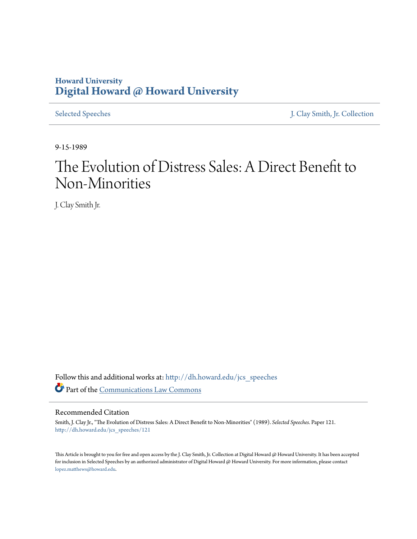# **Howard University [Digital Howard @ Howard University](http://dh.howard.edu?utm_source=dh.howard.edu%2Fjcs_speeches%2F121&utm_medium=PDF&utm_campaign=PDFCoverPages)**

[Selected Speeches](http://dh.howard.edu/jcs_speeches?utm_source=dh.howard.edu%2Fjcs_speeches%2F121&utm_medium=PDF&utm_campaign=PDFCoverPages) [J. Clay Smith, Jr. Collection](http://dh.howard.edu/jcsmith?utm_source=dh.howard.edu%2Fjcs_speeches%2F121&utm_medium=PDF&utm_campaign=PDFCoverPages)

9-15-1989

# The Evolution of Distress Sales: A Direct Benefit to Non-Minorities

J. Clay Smith Jr.

Follow this and additional works at: [http://dh.howard.edu/jcs\\_speeches](http://dh.howard.edu/jcs_speeches?utm_source=dh.howard.edu%2Fjcs_speeches%2F121&utm_medium=PDF&utm_campaign=PDFCoverPages) Part of the [Communications Law Commons](http://network.bepress.com/hgg/discipline/587?utm_source=dh.howard.edu%2Fjcs_speeches%2F121&utm_medium=PDF&utm_campaign=PDFCoverPages)

#### Recommended Citation

Smith, J. Clay Jr., "The Evolution of Distress Sales: A Direct Benefit to Non-Minorities" (1989). *Selected Speeches.* Paper 121. [http://dh.howard.edu/jcs\\_speeches/121](http://dh.howard.edu/jcs_speeches/121?utm_source=dh.howard.edu%2Fjcs_speeches%2F121&utm_medium=PDF&utm_campaign=PDFCoverPages)

This Article is brought to you for free and open access by the J. Clay Smith, Jr. Collection at Digital Howard @ Howard University. It has been accepted for inclusion in Selected Speeches by an authorized administrator of Digital Howard @ Howard University. For more information, please contact [lopez.matthews@howard.edu.](mailto:lopez.matthews@howard.edu)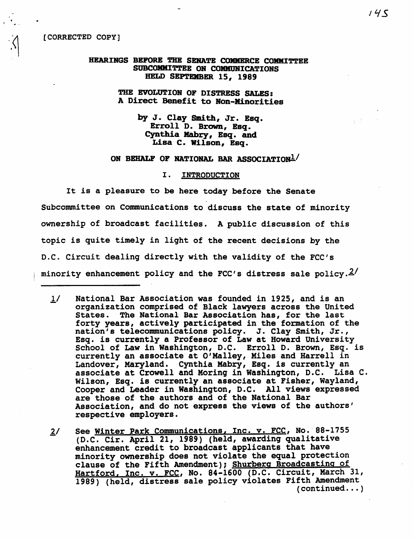$\cdot \cdot \cdot$ 

#### HEARINGS BEFORE THE SENATE COMMERCE COMMITTEE SUBCOMMITTEE ON COMMUNICATIONS HELD SEPTEMBER 15, 1989

## THE EVOLUTION OP DISTRESS SALES: A Direct Benefit to Ron-Minorities

by J. Clay Smith, Jr. Bsq. Erroll D. Brown, Bsq. Cynthia Mabry, Esq. and Lisa C. Wilson, Esq.

# ON BEHALF OF NATIONAL BAR ASSOCIATION1

#### I. INTRODUCTION

It is a pleasure to be here today before the Senate Subcommittee on Communications to discuss the state of minority ownership of broadcast facilities. A public discussion of this topic is quite timely in light of the recent decisions by the D.C. Circuit dealing directly with the validity of the FCC's minority enhancement policy and the FCC's distress sale policy. $2/$ 

- 1/ National Bar Association was founded in 1925, and is an organization comprised of Black lawyers across the United States. The National Bar Association has, for the last forty years, actively participated in the formation of the nation's telecommunications policy. J. Clay Smith, Jr.,<br>Esq. is currently a Professor of Law at Howard University School of Law in Washington, D.C. Erroll D. Brown, Esq. is currently an associate at O'Malley, Miles and Harrell in Landover, Maryland. Cynthia Mabry, Esq. is currently an associate at Crowell and Moring in Washington, D.C. Lisa C. Wilson, Esq. is currently an associate at Fisher, Wayland, Cooper and Leader in Washington, D.C. All views expressed are those of the authors and of the National Bar Association, and do not express the views of the authors' respective employers.
- $2/$ See Winter Park Communications, Inc. v. FCC, No. 88-1755 (D.C. Cir. April 21, 1989) (held, awarding qualitative enhancement credit to broadcast applicants that have minority ownership does not violate the equal protection clause of the Fifth Amendment); Shurberq Broadcasting of Hartford. Inc. v. FCC, No. 84-1600 (D.C. Circuit, March 31, 1989) (held, distress sale policy violates Fifth Amendment  $($  continued  $\ldots$  )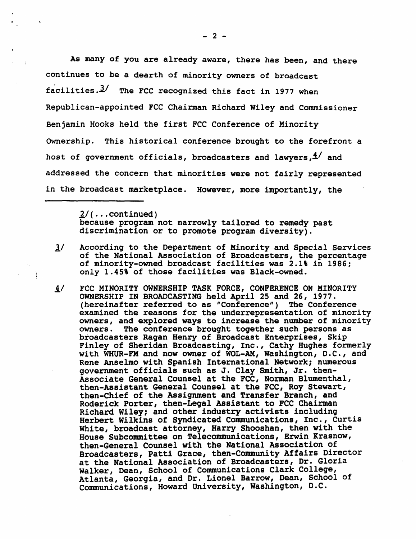As many of you are already aware, there has been, and there continues to be a dearth of minority owners of broadcast facilities. $3/$  The FCC recognized this fact in 1977 when Republican-appointed FCC Chairman Richard Wiley and Commissioner Benjamin Hooks held the first FCC Conference of Minority Ownership. This historical conference brought to the forefront a host of government officials, broadcasters and lawyers,  $4'$  and addressed the concern that minorities were not fairly represented in the broadcast marketplace. However, more importantly, the

> $2/$ (...continued) because program not narrowly tailored to remedy past discrimination or to promote program diversity).

÷,

- $\frac{3}{4}$  According to the Department of Minority and Special Services of the National Association of Broadcasters, the percentage of minority-owned broadcast facilities was 2.1% in 1986; only 1.45% of those facilities was Black-owned.
- 4/ FCC MINORITY OWNERSHIP TASK FORCE, CONFERENCE ON MINORITY OWNERSHIP IN BROADCASTING held April 25 and 26, 1977. (hereinafter referred to as "Conference") The Conference examined the reasons for the underrepresentation of minority owners, and explored ways to increase the number of minority owners. The conference brought together such persons as broadcasters Ragan Henry of Broadcast Enterprises, Skip Finley of Sheridan Broadcasting, Inc., Cathy Hughes formerly with WHUR-FM and now owner of WOL-AM, Washington, D.C., and Rene Anselmo with Spanish International Network; numerous government officials such as J. Clay Smith, Jr. then-Associate General Counsel at the FCC, Norman Blumenthal, then-Assistant General Counsel at the FCC, Roy Stewart, then-Chief of the Assignment and Transfer Branch, and Roderick Porter, then-Legal Assistant to FCC Chairman Richard Wiley; and other industry activists including Herbert Wilkins of Syndicated Communications, Inc., Curtis White, broadcast attorney, Harry Shooshan, then with the House Subcommittee on Telecommunications, Erwin Krasnow, then-General Counsel with the National Association of Broadcasters, Patti Grace, then-Community Affairs Director at the National Association of Broadcasters, Dr. Gloria<br>Walker, Dean, School of Communications Clark College, Atlanta, Georgia, and Dr. Lionel Barrow, Dean, School of Communications, Howard University, Washington, D.C.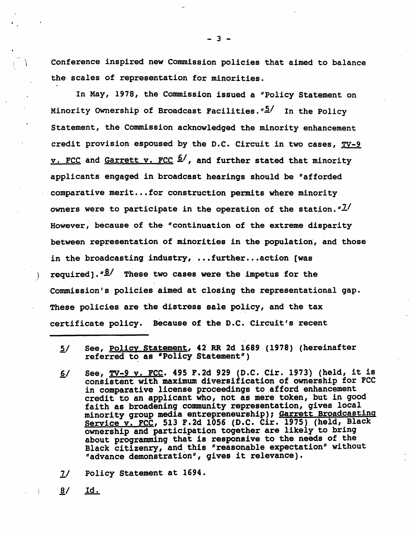Conference inspired new Commission policies that aimed to balance the scales of representation for minorities.

In May, 1978, the Commission issued a "Policy Statement on Minority Ownership of Broadcast Facilities.  $\frac{n5}{1}$  In the Policy Statement, the Commission acknowledged the minority enhancement credit provision espoused by the D.C. Circuit in two cases,  $TV-9$ v. FCC and Garrett v. FCC <sup>6</sup>/, and further stated that minority applicants engaged in broadcast hearings should be "afforded comparative merit... for construction permits where minority owners were to participate in the operation of the station.  $T^2$ However, because of the "continuation of the extreme disparity between representation of minorities in the population, and those in the broadcasting industry,  $\ldots$  further... action (was required]. " $\frac{8}{1}$  These two cases were the impetus for the ,Commission's policies aimed at closing the representational gap. These policies are the distress sale policy, and the tax certificate policy. Because of the D.C. Circuit's recent

- $5/$ See, Policy Statement, 42' RR 2d 1689 (1978) (hereinafter referred to as "Policy Statement")
- $6/$ See, TV-9 v. FCC. 495 F.2d 929 (D.C. Cir. 1973) (held, it is 'consistent with maximum diversification of ownership for FCC in comparative license proceedings to afford enhancement credit to an applicant who, not as mere token, but in good faith as broadening community representation, gives local minority group media entrepreneurship); Garrett Broadcasting Service v. FCC, 513 F.2d 1056 (D.C. Cir. 1975) (held, Black ownership and participation together are likely to bring about programming that is responsive to the needs of the Black citizenry, and this "reasonable expectation" without "advance demonstration", gives it relevance).
- $2/$ Policy Statement at 1694.

<u>Id.</u>  $\underline{8}$ /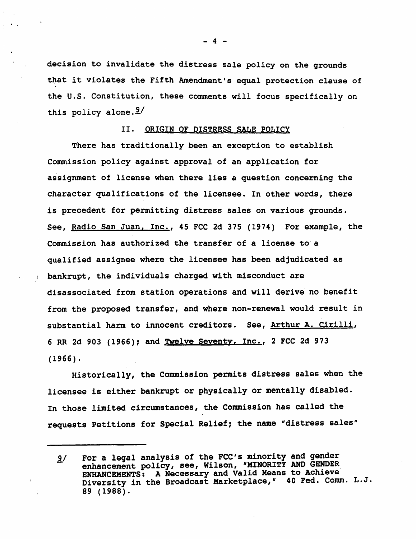decision to invalidate the distress sale policy on the grounds that it violates the Fifth Amendment's equal protection clause of the U.S. Constitution, these comments will focus specifically on this policy alone. $9/$ 

· .

# II. ORIGIN OF DISTRESS SALE POLICY

There has traditionally been an exception to establish Commission policy against approval of an application for assignment of license when there lies a question concerning the character qualifications of the licensee. In other words, there *is* precedent for permitting distress sales on various grounds. See, Radio San Juan, Inc., 45 FCC 2d 375 (1974) For example, the Commission has authorized the transfer of a license to a qualified assignee where the licensee has been adjudicated as bankrupt, the individuals charged with misconduct are disassociated from station operations and will derive' no benefit from the proposed transfer, and where non-renewal would result in substantial harm to innocent creditors. See, Arthur A. Cirilli, 6 RR 2d 903 (1966); and Twelve Seventy, Inc., 2 FCC 2d 973 (1966).

Historically, the Commission permits distress sales when the licensee is either bankrupt or physically or mentally disabled. In those limited circumstances, the Commission has called the requests Petitions for Special Relief; the name "distress sales"

- 4 -

<sup>9/</sup> For a legal analysis of the FCC's minority and gender enhancement policy, see, Wilson, "MINORITY AND GENDER ENHANCEMENTS: A Necessary and Valid Means to Achieve Diversity in the Broadcast Marketplace," 40 Fed. Comm. L.J. 89 (1988).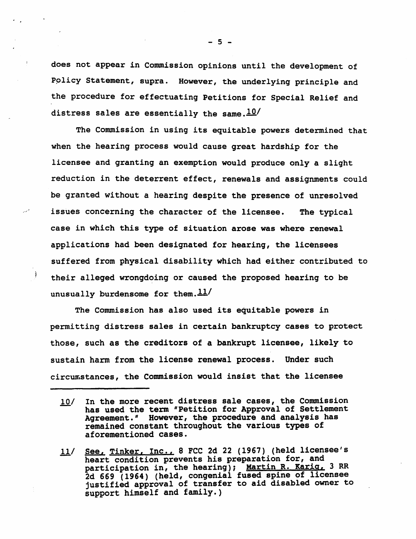does not appear in Commission opinions until the development of Policy Statement, supra. However, the underlying principle and the procedure for effectuating Petitions for Special Relief and distress sales are essentially the same. $10/$ 

The Commission in using its equitable powers determined that when the hearing process would cause great hardship for the licensee and granting an exemption would produce only a slight reduction in the deterrent effect, renewals and assignments could be granted without a hearing despite the presence of unresolved issues concerning the character of the licensee. The typical case in which this type of situation arose was where renewal applications had been designated for hearing, the licensees suffered from physical disability which had either contributed to their alleged wrongdoing or caused the proposed hearing to be unusually burdensome for them. $\frac{11}{1}$ 

The Commission has also used its equitable powers in permitting distress sales in certain bankruptcy cases to protect those, such as the creditors of a bankrupt licensee, likely to sustain harm from the license renewal process. Under such circumstances, the Commission would insist that the licensee

 $-5 -$ 

In the more recent distress sale cases, the Commission  $10/$ has used the term "Petition for Approval of Settlement Agreement." However, the procedure and analysis has remained constant throughout the various types of aforementioned cases.

See, Tinker, Inc., 8 FCC 2d 22 (1967) (held licensee's  $11/$ heart condition prevents his preparation for, and participation in, the hearing); Martin R. Karig, 3 RR 2d 669 (1964) (held, congenial fused spine of licensee justified approval of transfer to aid disabled owner to support himself and family.)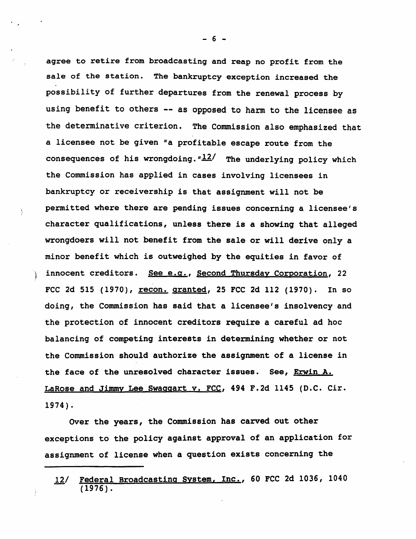agree to retire from broadcasting and reap no profit from the sale of the station. The bankruptcy exception increased the possibility of further departures from the renewal process by using benefit to others -- as opposed to harm to the licensee as the determinative criterion. The Commission also emphasized that a licensee not be given "a profitable escape route from the consequences of his wrongdoing.  $\frac{n12}{}$  The underlying policy which the Commission has applied in cases involving licensees in bankruptcy or receivership is that assignment will not be permitted where there are pending issues concerning a licensee's character qualifications, unless there is a showing that alleged wrongdoers will not benefit from the sale or will derive only a minor benefit which is outweighed by the equities in favor of ) innocent creditors. See e.g., Second Thursday Corporation, 22 FCC 2d 515 (1970), recon. granted, 25 FCC 2d 112 (1970). In so doing, the Commission has said that a licensee's insolvency and the protection of innocent creditors require a careful ad hoc balancing of competing interests in determining whether or not the Commission should authorize the assignment of a license in the face of the unresolved character issues. See, Erwin A. LaRose and Jimmy Lee Swaggart v. FCC, 494 F.2d 1145 (D.C. Cir. 1974).

ý.

Over the years, the Commission has carved out other exceptions to the policy against approval of an application for assignment of license when a question exists concerning the

- 6 -

<sup>12/</sup> Federal Broadcasting System, Inc., 60 FCC 2d 1036, 1040 (1976).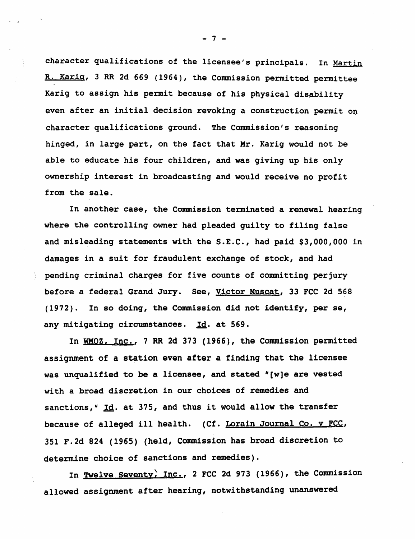character qualifications of the licensee's principals. In Martin R. Karia, 3 RR 2d 669 (1964), the Commission permitted permittee Karig to assign his permit because of his physical disability even after an initial decision revoking a construction permit on character qualifications ground. The Commission's reasoning hinged, in large part, on the fact that Mr. Karig would not be able to educate his four children, and was giving up his only ownership interest in broadcasting and would receive no profit from the sale.

In another case, the Commission terminated a renewal hearing where the controlling owner had pleaded guilty to filing false and misleading statements with the S.E.C., had paid \$3,000,000 in damages in a suit for fraudulent exchange of stock, and had pending criminal charges for five counts of committing perjury before a federal Grand Jury. See, Victor Muscat, 33 FCC 2d 568 (1972). In so dOing, the Commission did not identify, per se, any mitigating circumstances. Id. at 569.

In WMOZ, Inc., 7 RR 2d 373 (1966), the Commission permitted assignment of a station even after a finding that the licensee was unqualified to be a licensee, and stated "[w]e are vested with a broad discretion in our choices of remedies and sanctions,  $\frac{1}{4}$  Id. at 375, and thus it would allow the transfer because of alleged ill health. (Cf. Lorain Journal Co. v FCC, 351 F.2d 824 (1965) (held, Commission has broad discretion to determine choice of sanctions and remedies).

In Twelve Seventy, Inc., 2 FCC 2d 973 (1966), the Commission allowed assignment after hearing, notwithstanding unanswered

- 7 -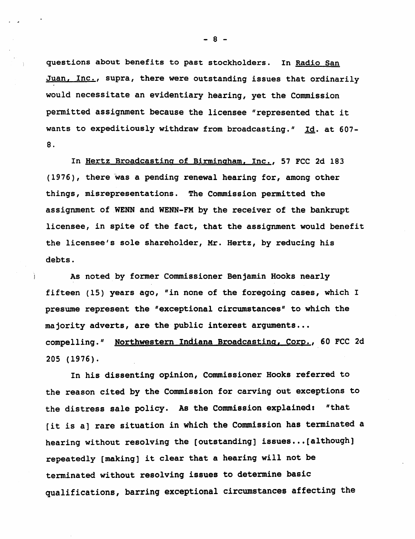questions about benefits to past stockholders. In Radio San Juan, Inc., supra, there were outstanding issues that ordinarily would necessitate an evidentiary hearing, yet the Commission permitted assignment because the licensee "represented that it wants to expeditiously withdraw from broadcasting." Id. at 607- 8 .

In Hertz Broadcasting of Birmingham, Inc., 57 FCC 2d 183 (1976), there was a pending renewal hearing for, among other things, misrepresentations. The Commission permitted the assignment of WENN and WENN-FM by the receiver of the bankrupt licensee, in spite of the fact, that the assignment would benefit the licensee's sole shareholder, Mr. Hertz, by reducing his debts.

As noted by former Commissioner Benjamin Hooks nearly fifteen (15) years ago, "in none of the foregoing cases, which I presume represent the "exceptional circumstances" to which the majority adverts, are the public interest arguments... compelling." Northwestern Indiana Broadcasting, Corp., 60 FCC 2d 205 (1976).

In his dissenting opinion, Commissioner Hooks referred to the reason cited by the Commission for carving out exceptions to the distress sale policy. As the Commission explained: "that [it is a] rare situation in which the Commission has terminated a hearing without resolving the [outstanding] issues...[although] repeatedly [making] it clear that a hearing will not be terminated without resolving issues to determine basic qualifications, barring exceptional circumstances affecting the

- 8 -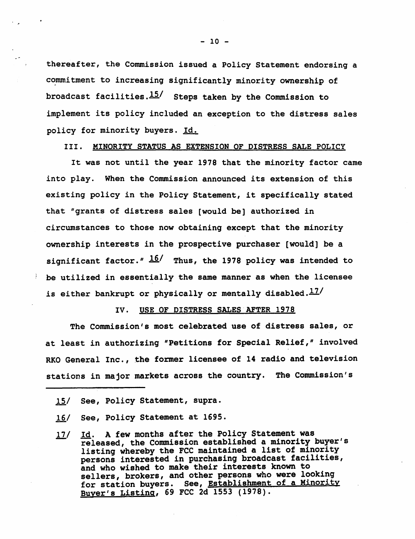thereafter, the Commission issued a Policy Statement endorsing a commitment to increasing significantly minority ownership of broadcast facilities. $15/$  Steps taken by the Commission to implement its policy included an exception to the distress sales policy for minority buyers. Id.

III. MINORITY STATUS AS EXTENSION OF DISTRESS SALE POLICY

It was not until the year 1978 that the minority factor came into play. When the Commission announced its extension of this existing policy in the Policy Statement, it specifically stated that "grants of distress sales [would be] authorized in circumstances to those now obtaining except that the minority ownership interests in the prospective purchaser [would] be a significant factor."  $\frac{16}{1}$  Thus, the 1978 policy was intended to be utilized in essentially the same manner as when the licensee is either bankrupt or physically or mentally disabled. $17/$ 

#### IV. USE OF DISTRESS SALES AFTER 1978

The Commission's most celebrated use of distress sales, or at least in authorizing "Petitions for Special Relief," involved RKO General Inc., the former licensee of 14 radio and television stations in major markets across the country. The Commission's

- *ill*  See, Policy Statement at 1695.
- $17/$ Id. A few months after the Policy Statement was released, the Commission established a minority buyer's listing whereby the FCC maintained a list of minority persons interested in purchasing broadcast facilities, and who wished to make their interests known to sellers, brokers, and other persons who were looking for station buyers. See, Establishment of a Minority<br>Buyer's Listing, 69 FCC 2d 1553 (1978).

<sup>15/</sup> See, Policy Statement, supra.